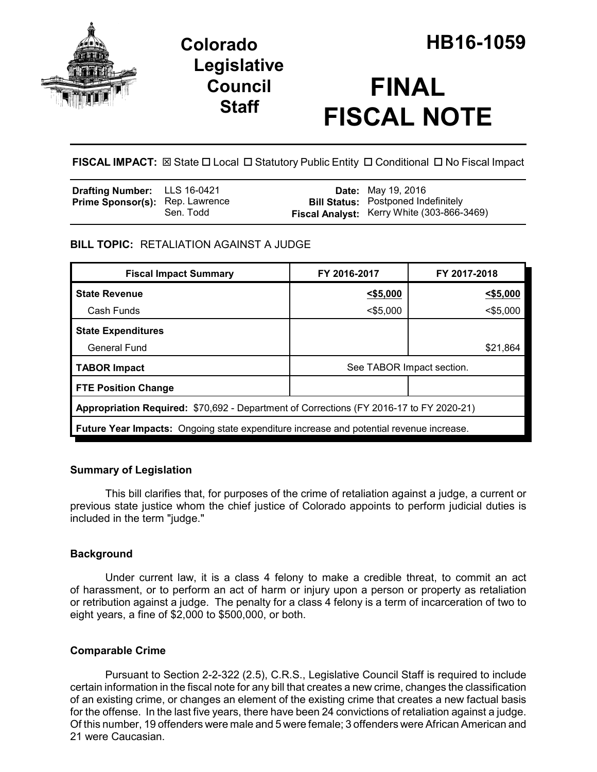

## **Legislative Council Staff**

# **FINAL FISCAL NOTE**

**FISCAL IMPACT:** ⊠ State □ Local □ Statutory Public Entity □ Conditional □ No Fiscal Impact

| <b>Drafting Number:</b> LLS 16-0421    |           | <b>Date:</b> May 19, 2016                                                                |
|----------------------------------------|-----------|------------------------------------------------------------------------------------------|
| <b>Prime Sponsor(s):</b> Rep. Lawrence | Sen. Todd | <b>Bill Status:</b> Postponed Indefinitely<br>Fiscal Analyst: Kerry White (303-866-3469) |

## **BILL TOPIC:** RETALIATION AGAINST A JUDGE

| <b>Fiscal Impact Summary</b>                                                            | FY 2016-2017              | FY 2017-2018 |  |  |  |
|-----------------------------------------------------------------------------------------|---------------------------|--------------|--|--|--|
| <b>State Revenue</b>                                                                    | $<$ \$5,000               | $<$ \$5,000  |  |  |  |
| Cash Funds                                                                              | $<$ \$5,000               | $<$ \$5,000  |  |  |  |
| <b>State Expenditures</b>                                                               |                           |              |  |  |  |
| <b>General Fund</b>                                                                     |                           | \$21,864     |  |  |  |
| <b>TABOR Impact</b>                                                                     | See TABOR Impact section. |              |  |  |  |
| <b>FTE Position Change</b>                                                              |                           |              |  |  |  |
| Appropriation Required: \$70,692 - Department of Corrections (FY 2016-17 to FY 2020-21) |                           |              |  |  |  |
| Future Year Impacts: Ongoing state expenditure increase and potential revenue increase. |                           |              |  |  |  |

## **Summary of Legislation**

This bill clarifies that, for purposes of the crime of retaliation against a judge, a current or previous state justice whom the chief justice of Colorado appoints to perform judicial duties is included in the term "judge."

## **Background**

Under current law, it is a class 4 felony to make a credible threat, to commit an act of harassment, or to perform an act of harm or injury upon a person or property as retaliation or retribution against a judge. The penalty for a class 4 felony is a term of incarceration of two to eight years, a fine of \$2,000 to \$500,000, or both.

## **Comparable Crime**

Pursuant to Section 2-2-322 (2.5), C.R.S., Legislative Council Staff is required to include certain information in the fiscal note for any bill that creates a new crime, changes the classification of an existing crime, or changes an element of the existing crime that creates a new factual basis for the offense. In the last five years, there have been 24 convictions of retaliation against a judge. Of this number, 19 offenders were male and 5 were female; 3 offenders were African American and 21 were Caucasian.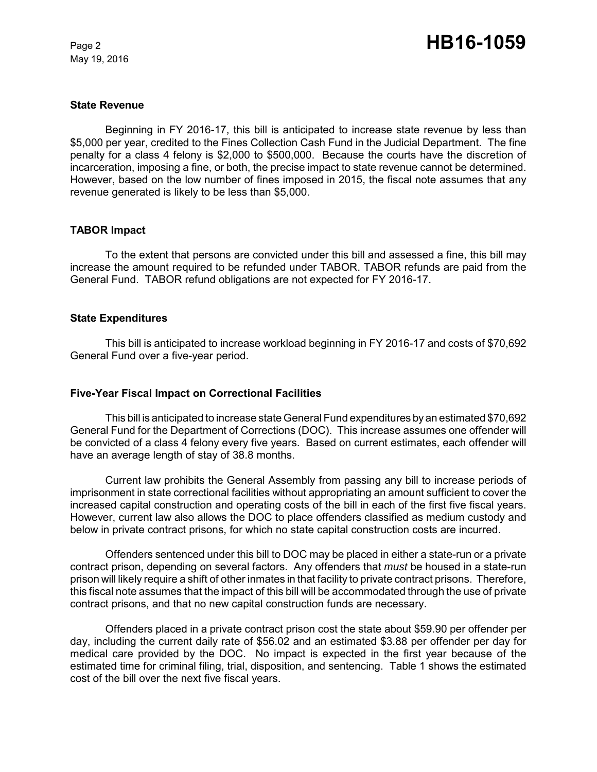May 19, 2016

#### **State Revenue**

Beginning in FY 2016-17, this bill is anticipated to increase state revenue by less than \$5,000 per year, credited to the Fines Collection Cash Fund in the Judicial Department. The fine penalty for a class 4 felony is \$2,000 to \$500,000. Because the courts have the discretion of incarceration, imposing a fine, or both, the precise impact to state revenue cannot be determined. However, based on the low number of fines imposed in 2015, the fiscal note assumes that any revenue generated is likely to be less than \$5,000.

#### **TABOR Impact**

To the extent that persons are convicted under this bill and assessed a fine, this bill may increase the amount required to be refunded under TABOR. TABOR refunds are paid from the General Fund. TABOR refund obligations are not expected for FY 2016-17.

#### **State Expenditures**

This bill is anticipated to increase workload beginning in FY 2016-17 and costs of \$70,692 General Fund over a five-year period.

#### **Five-Year Fiscal Impact on Correctional Facilities**

This bill is anticipated to increase state General Fund expenditures by an estimated \$70,692 General Fund for the Department of Corrections (DOC). This increase assumes one offender will be convicted of a class 4 felony every five years. Based on current estimates, each offender will have an average length of stay of 38.8 months.

Current law prohibits the General Assembly from passing any bill to increase periods of imprisonment in state correctional facilities without appropriating an amount sufficient to cover the increased capital construction and operating costs of the bill in each of the first five fiscal years. However, current law also allows the DOC to place offenders classified as medium custody and below in private contract prisons, for which no state capital construction costs are incurred.

Offenders sentenced under this bill to DOC may be placed in either a state-run or a private contract prison, depending on several factors. Any offenders that *must* be housed in a state-run prison will likely require a shift of other inmates in that facility to private contract prisons. Therefore, this fiscal note assumes that the impact of this bill will be accommodated through the use of private contract prisons, and that no new capital construction funds are necessary.

Offenders placed in a private contract prison cost the state about \$59.90 per offender per day, including the current daily rate of \$56.02 and an estimated \$3.88 per offender per day for medical care provided by the DOC. No impact is expected in the first year because of the estimated time for criminal filing, trial, disposition, and sentencing. Table 1 shows the estimated cost of the bill over the next five fiscal years.